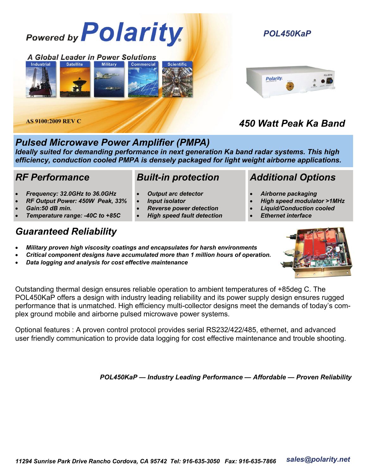

#### *Pulsed Microwave Power Amplifier (PMPA)*

*Ideally suited for demanding performance in next generation Ka band radar systems. This high efficiency, conduction cooled PMPA is densely packaged for light weight airborne applications.* 

#### *RF Performance*

- *Frequency: 32.0GHz to 36.0GHz*
- *RF Output Power: 450W Peak, 33%*
- *Gain:50 dB min.*
- *Temperature range: -40C to +85C*

#### *Built-in protection*

- *Output arc detector*
- *Input isolator*
- *Reverse power detection* 
	- *High speed fault detection*

#### *Additional Options*

- *Airborne packaging*
- *High speed modulator >1MHz*
- *Liquid/Conduction cooled* 
	- *Ethernet interface*

#### *Guaranteed Reliability*

- *Military proven high viscosity coatings and encapsulates for harsh environments*
- *Critical component designs have accumulated more than 1 million hours of operation.*
- *Data logging and analysis for cost effective maintenance*

Outstanding thermal design ensures reliable operation to ambient temperatures of +85deg C. The POL450KaP offers a design with industry leading reliability and its power supply design ensures rugged performance that is unmatched. High efficiency multi-collector designs meet the demands of today's complex ground mobile and airborne pulsed microwave power systems.

Optional features : A proven control protocol provides serial RS232/422/485, ethernet, and advanced user friendly communication to provide data logging for cost effective maintenance and trouble shooting.

*POL450KaP — Industry Leading Performance — Affordable — Proven Reliability*



## *POL450KaP*